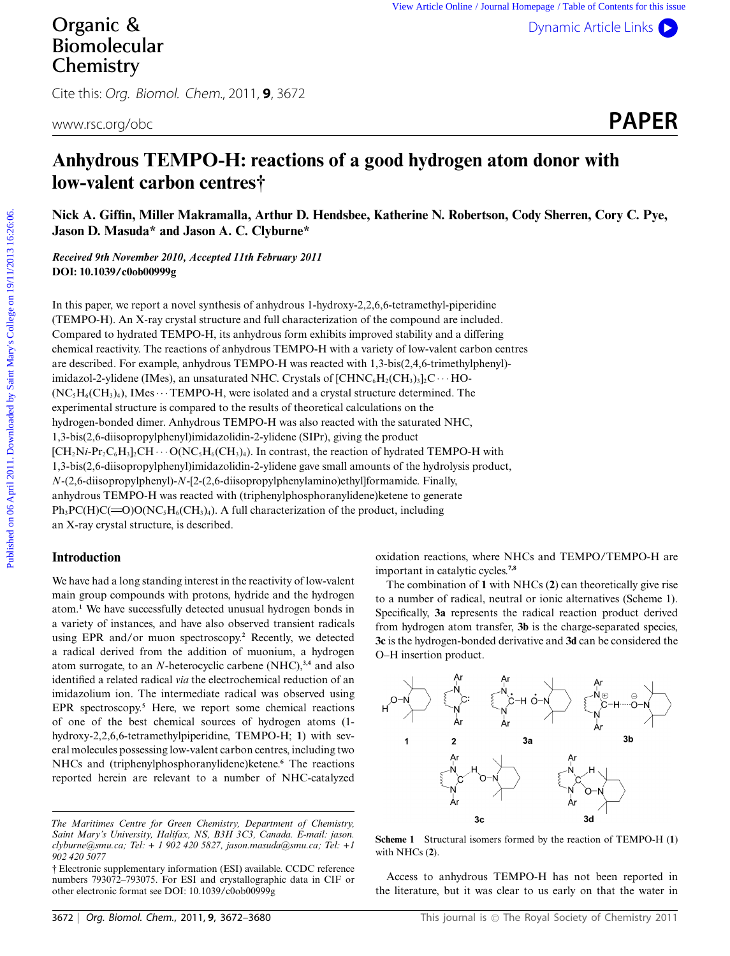[Dynamic Article Links](http://dx.doi.org/10.1039/c0ob00999g) ( $\blacktriangleright$ 

# Organic & Biomolecular **Chemistry**

Cite this: Org. Biomol. Chem., 2011, **9**, 3672

# **Anhydrous TEMPO-H: reactions of a good hydrogen atom donor with low-valent carbon centres†**

**Nick A. Giffin, Miller Makramalla, Arthur D. Hendsbee, Katherine N. Robertson, Cody Sherren, Cory C. Pye, Jason D. Masuda\* and Jason A. C. Clyburne\***

*Received 9th November 2010, Accepted 11th February 2011* **DOI: 10.1039/c0ob00999g**

In this paper, we report a novel synthesis of anhydrous 1-hydroxy-2,2,6,6-tetramethyl-piperidine (TEMPO-H). An X-ray crystal structure and full characterization of the compound are included. Compared to hydrated TEMPO-H, its anhydrous form exhibits improved stability and a differing chemical reactivity. The reactions of anhydrous TEMPO-H with a variety of low-valent carbon centres are described. For example, anhydrous TEMPO-H was reacted with 1,3-bis(2,4,6-trimethylphenyl) imidazol-2-ylidene (IMes), an unsaturated NHC. Crystals of  $[CHNC_6H_2(CH_3)_3]_2C \cdots HO (NC, H<sub>6</sub>(CH<sub>3</sub>)<sub>4</sub>)$ , IMes  $\cdots$  TEMPO-H, were isolated and a crystal structure determined. The experimental structure is compared to the results of theoretical calculations on the hydrogen-bonded dimer. Anhydrous TEMPO-H was also reacted with the saturated NHC, 1,3-bis(2,6-diisopropylphenyl)imidazolidin-2-ylidene (SIPr), giving the product  $[CH_2Ni\text{-}Pr_2C_6H_3]_2CH\cdots O(NC_5H_6(CH_3)_4$ . In contrast, the reaction of hydrated TEMPO-H with 1,3-bis(2,6-diisopropylphenyl)imidazolidin-2-ylidene gave small amounts of the hydrolysis product, *N*-(2,6-diisopropylphenyl)-*N*-[2-(2,6-diisopropylphenylamino)ethyl]formamide. Finally, anhydrous TEMPO-H was reacted with (triphenylphosphoranylidene)ketene to generate  $Ph_3PC(H)C(=O)O(NC_5H_6(CH_3)_4)$ . A full characterization of the product, including an X-ray crystal structure, is described. **Published on College on 2011.** We we added by the sympath of the college of the college of the college on 2011. Downloaded by Saint Mary The College on 1971. The College of the College on 1971. The College of Contents of

# **Introduction**

We have had a long standing interest in the reactivity of low-valent main group compounds with protons, hydride and the hydrogen atom.**<sup>1</sup>** We have successfully detected unusual hydrogen bonds in a variety of instances, and have also observed transient radicals using EPR and/or muon spectroscopy.**<sup>2</sup>** Recently, we detected a radical derived from the addition of muonium, a hydrogen atom surrogate, to an *N*-heterocyclic carbene (NHC),**3,4** and also identified a related radical *via* the electrochemical reduction of an imidazolium ion. The intermediate radical was observed using EPR spectroscopy.**<sup>5</sup>** Here, we report some chemical reactions of one of the best chemical sources of hydrogen atoms (1 hydroxy-2,2,6,6-tetramethylpiperidine, TEMPO-H; **1**) with several molecules possessing low-valent carbon centres, including two NHCs and (triphenylphosphoranylidene)ketene.**<sup>6</sup>** The reactions reported herein are relevant to a number of NHC-catalyzed oxidation reactions, where NHCs and TEMPO/TEMPO-H are important in catalytic cycles.**7,8**

The combination of **1** with NHCs (**2**) can theoretically give rise to a number of radical, neutral or ionic alternatives (Scheme 1). Specifically, **3a** represents the radical reaction product derived from hydrogen atom transfer, **3b** is the charge-separated species, **3c** is the hydrogen-bonded derivative and **3d** can be considered the O–H insertion product.



**Scheme 1** Structural isomers formed by the reaction of TEMPO-H (**1**) with NHCs (**2**).

Access to anhydrous TEMPO-H has not been reported in the literature, but it was clear to us early on that the water in

*The Maritimes Centre for Green Chemistry, Department of Chemistry, Saint Mary's University, Halifax, NS, B3H 3C3, Canada. E-mail: jason. clyburne@smu.ca; Tel: + 1 902 420 5827, jason.masuda@smu.ca; Tel: +1 902 420 5077*

<sup>†</sup> Electronic supplementary information (ESI) available. CCDC reference numbers 793072–793075. For ESI and crystallographic data in CIF or other electronic format see DOI: 10.1039/c0ob00999g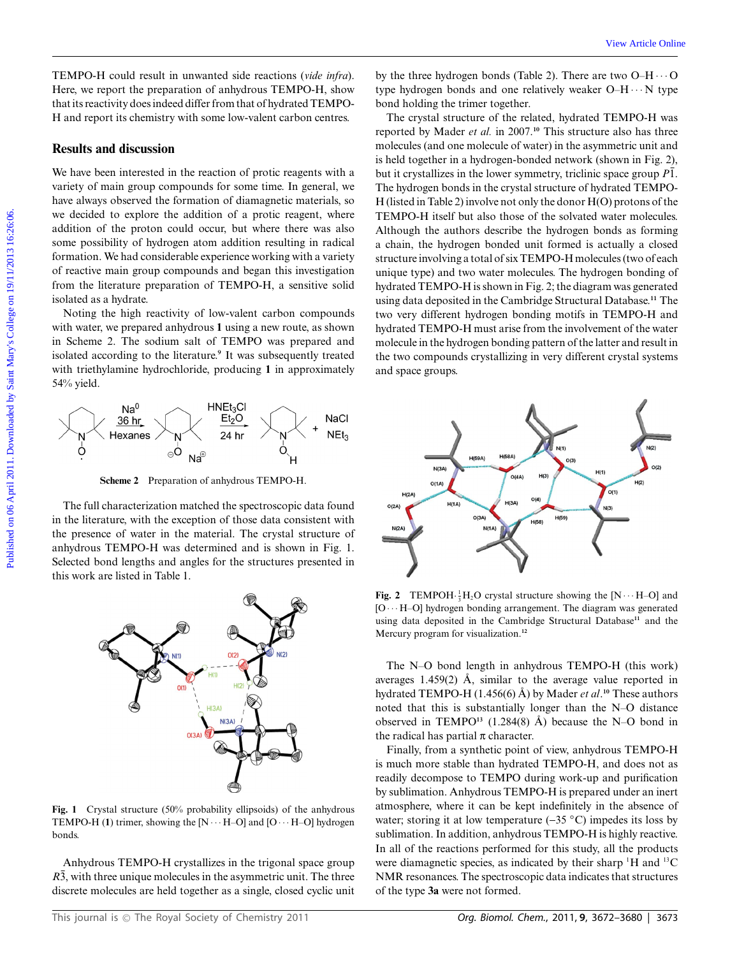TEMPO-H could result in unwanted side reactions (*vide infra*). Here, we report the preparation of anhydrous TEMPO-H, show that its reactivity does indeed differ from that of hydrated TEMPO-H and report its chemistry with some low-valent carbon centres.

# **Results and discussion**

We have been interested in the reaction of protic reagents with a variety of main group compounds for some time. In general, we have always observed the formation of diamagnetic materials, so we decided to explore the addition of a protic reagent, where addition of the proton could occur, but where there was also some possibility of hydrogen atom addition resulting in radical formation. We had considerable experience working with a variety of reactive main group compounds and began this investigation from the literature preparation of TEMPO-H, a sensitive solid isolated as a hydrate.

Noting the high reactivity of low-valent carbon compounds with water, we prepared anhydrous **1** using a new route, as shown in Scheme 2. The sodium salt of TEMPO was prepared and isolated according to the literature.**<sup>9</sup>** It was subsequently treated with triethylamine hydrochloride, producing **1** in approximately 54% yield.



**Scheme 2** Preparation of anhydrous TEMPO-H.

The full characterization matched the spectroscopic data found in the literature, with the exception of those data consistent with the presence of water in the material. The crystal structure of anhydrous TEMPO-H was determined and is shown in Fig. 1. Selected bond lengths and angles for the structures presented in this work are listed in Table 1.



**Fig. 1** Crystal structure (50% probability ellipsoids) of the anhydrous TEMPO-H (1) trimer, showing the  $[N \cdots H-O]$  and  $[O \cdots H-O]$  hydrogen bonds.

Anhydrous TEMPO-H crystallizes in the trigonal space group  $R\overline{3}$ , with three unique molecules in the asymmetric unit. The three discrete molecules are held together as a single, closed cyclic unit

by the three hydrogen bonds (Table 2). There are two  $O-H \cdots O$ type hydrogen bonds and one relatively weaker  $O-H \cdots N$  type bond holding the trimer together.

The crystal structure of the related, hydrated TEMPO-H was reported by Mader *et al.* in 2007.**<sup>10</sup>** This structure also has three molecules (and one molecule of water) in the asymmetric unit and is held together in a hydrogen-bonded network (shown in Fig. 2), but it crystallizes in the lower symmetry, triclinic space group  $P\overline{1}$ . The hydrogen bonds in the crystal structure of hydrated TEMPO-H (listed in Table 2) involve not only the donor H(O) protons of the TEMPO-H itself but also those of the solvated water molecules. Although the authors describe the hydrogen bonds as forming a chain, the hydrogen bonded unit formed is actually a closed structure involving a total of six TEMPO-H molecules (two of each unique type) and two water molecules. The hydrogen bonding of hydrated TEMPO-H is shown in Fig. 2; the diagram was generated using data deposited in the Cambridge Structural Database.**<sup>11</sup>** The two very different hydrogen bonding motifs in TEMPO-H and hydrated TEMPO-H must arise from the involvement of the water molecule in the hydrogen bonding pattern of the latter and result in the two compounds crystallizing in very different crystal systems and space groups. TEMPO-H could result in tawanted side reactions (*view ships*). by the chris hydrogen bonds (Toke) 2. There are the experimention of antisymention in MARVO-H, show to pre-buting the time viewed by Material of the most col



**Fig. 2** TEMPOH $\frac{1}{3}$ H<sub>2</sub>O crystal structure showing the [N  $\cdots$  H–O] and  $[O \cdots H-O]$  hydrogen bonding arrangement. The diagram was generated using data deposited in the Cambridge Structural Database**<sup>11</sup>** and the Mercury program for visualization.**<sup>12</sup>**

The N–O bond length in anhydrous TEMPO-H (this work) averages  $1.459(2)$  Å, similar to the average value reported in hydrated TEMPO-H (1.456(6) Å) by Mader *et al*.<sup>10</sup> These authors noted that this is substantially longer than the N–O distance observed in TEMPO<sup>13</sup> (1.284(8)  $\AA$ ) because the N–O bond in the radical has partial  $\pi$  character.

Finally, from a synthetic point of view, anhydrous TEMPO-H is much more stable than hydrated TEMPO-H, and does not as readily decompose to TEMPO during work-up and purification by sublimation. Anhydrous TEMPO-H is prepared under an inert atmosphere, where it can be kept indefinitely in the absence of water; storing it at low temperature (-35 *◦*C) impedes its loss by sublimation. In addition, anhydrous TEMPO-H is highly reactive. In all of the reactions performed for this study, all the products were diamagnetic species, as indicated by their sharp  $H$  and  $H^3C$ NMR resonances. The spectroscopic data indicates that structures of the type **3a** were not formed.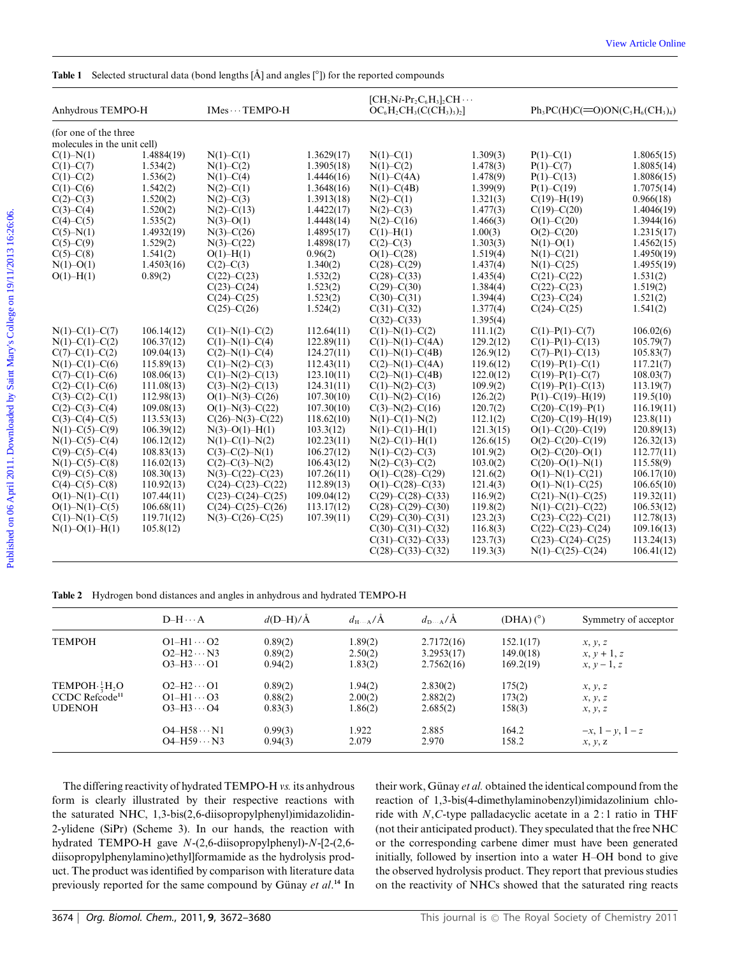| Anhydrous TEMPO-H                                                                                                                                                                                                                                                                                                                                                                                                                           | 1.4884(19)<br>1.534(2)<br>1.536(2)<br>1.542(2)<br>1.520(2)<br>1.520(2)<br>1.535(2)<br>1.4932(19)<br>1.529(2)<br>1.541(2)<br>1.4503(16)<br>0.89(2)<br>106.14(12)<br>106.37(12) | IMes · · · TEMPO-H<br>$N(1) - C(1)$<br>$N(1) - C(2)$<br>$N(1) - C(4)$<br>$N(2) - C(1)$<br>$N(2) - C(3)$<br>$N(2) - C(13)$<br>$N(3)-O(1)$<br>$N(3)-C(26)$<br>$N(3)-C(22)$<br>$O(1) - H(1)$<br>$C(2) - C(3)$<br>$C(22)-C(23)$<br>$C(23)-C(24)$<br>$C(24)-C(25)$<br>$C(25)-C(26)$<br>$C(1) - N(1) - C(2)$<br>$C(1) - N(1) - C(4)$ | 1.3629(17)<br>1.3905(18)<br>1.4446(16)<br>1.3648(16)<br>1.3913(18)<br>1.4422(17)<br>1.4448(14)<br>1.4895(17)<br>1.4898(17)<br>0.96(2)<br>1.340(2)<br>1.532(2)<br>1.523(2)<br>1.523(2)<br>1.524(2)<br>112.64(11) | $[CH_2Ni-Pr_2C_6H_3]$ , CH $\cdots$<br>$OC_6H_2CH_3(C(CH_3)_3)_2$<br>$N(1) - C(1)$<br>$N(1) - C(2)$<br>$N(1) - C(4A)$<br>$N(1) - C(4B)$<br>$N(2) - C(1)$<br>$N(2) - C(3)$<br>$N(2) - C(16)$<br>$C(1) - H(1)$<br>$C(2) - C(3)$<br>$O(1) - C(28)$<br>$C(28)-C(29)$<br>$C(28)-C(33)$<br>$C(29)-C(30)$<br>$C(30)-C(31)$<br>$C(31) - C(32)$<br>$C(32) - C(33)$<br>$C(1) - N(1) - C(2)$ | 1.309(3)<br>1.478(3)<br>1.478(9)<br>1.399(9)<br>1.321(3)<br>1.477(3)<br>1.466(3)<br>1.00(3)<br>1.303(3)<br>1.519(4)<br>1.437(4)<br>1.435(4)<br>1.384(4)<br>1.394(4)<br>1.377(4)<br>1.395(4) | $Ph_3PC(H)C(=O)ON(C_5H_6(CH_3)_4)$<br>$P(1) - C(1)$<br>$P(1) - C(7)$<br>$P(1) - C(13)$<br>$P(1) - C(19)$<br>$C(19) - H(19)$<br>$C(19) - C(20)$<br>$O(1) - C(20)$<br>$O(2) - C(20)$<br>$N(1) - O(1)$<br>$N(1) - C(21)$<br>$N(1) - C(25)$<br>$C(21) - C(22)$<br>$C(22) - C(23)$<br>$C(23)-C(24)$<br>$C(24) - C(25)$ | 0.966(18)<br>1.531(2)<br>1.519(2)<br>1.521(2)<br>1.541(2)                                                                                |
|---------------------------------------------------------------------------------------------------------------------------------------------------------------------------------------------------------------------------------------------------------------------------------------------------------------------------------------------------------------------------------------------------------------------------------------------|-------------------------------------------------------------------------------------------------------------------------------------------------------------------------------|--------------------------------------------------------------------------------------------------------------------------------------------------------------------------------------------------------------------------------------------------------------------------------------------------------------------------------|-----------------------------------------------------------------------------------------------------------------------------------------------------------------------------------------------------------------|-----------------------------------------------------------------------------------------------------------------------------------------------------------------------------------------------------------------------------------------------------------------------------------------------------------------------------------------------------------------------------------|---------------------------------------------------------------------------------------------------------------------------------------------------------------------------------------------|-------------------------------------------------------------------------------------------------------------------------------------------------------------------------------------------------------------------------------------------------------------------------------------------------------------------|------------------------------------------------------------------------------------------------------------------------------------------|
| (for one of the three<br>molecules in the unit cell)                                                                                                                                                                                                                                                                                                                                                                                        |                                                                                                                                                                               |                                                                                                                                                                                                                                                                                                                                |                                                                                                                                                                                                                 |                                                                                                                                                                                                                                                                                                                                                                                   |                                                                                                                                                                                             |                                                                                                                                                                                                                                                                                                                   | 1.8065(15)<br>1.8085(14)<br>1.8086(15)<br>1.7075(14)<br>1.4046(19)<br>1.3944(16)<br>1.2315(17)<br>1.4562(15)<br>1.4950(19)<br>1.4955(19) |
| $C(1) - N(1)$<br>$C(1) - C(7)$<br>$C(1) - C(2)$<br>$C(1) - C(6)$<br>$C(2) - C(3)$<br>$C(3)-C(4)$<br>$C(4) - C(5)$<br>$C(5)-N(1)$<br>$C(5)-C(9)$<br>$C(5)-C(8)$<br>$N(1)-O(1)$<br>$O(1) - H(1)$<br>$N(1) - C(1) - C(7)$<br>$N(1) - C(1) - C(2)$<br>$C(7)-C(1)-C(2)$<br>$N(1) - C(1) - C(6)$<br>$C(7)-C(1)-C(6)$<br>$C(2)-C(1)-C(6)$<br>$C(3)-C(2)-C(1)$<br>$C(2)-C(3)-C(4)$<br>$C(3)-C(4)-C(5)$<br>$N(1)$ –C(5)–C(9)<br>$N(1) - C(5) - C(4)$ |                                                                                                                                                                               |                                                                                                                                                                                                                                                                                                                                |                                                                                                                                                                                                                 |                                                                                                                                                                                                                                                                                                                                                                                   |                                                                                                                                                                                             |                                                                                                                                                                                                                                                                                                                   |                                                                                                                                          |
|                                                                                                                                                                                                                                                                                                                                                                                                                                             |                                                                                                                                                                               |                                                                                                                                                                                                                                                                                                                                |                                                                                                                                                                                                                 |                                                                                                                                                                                                                                                                                                                                                                                   |                                                                                                                                                                                             |                                                                                                                                                                                                                                                                                                                   |                                                                                                                                          |
|                                                                                                                                                                                                                                                                                                                                                                                                                                             |                                                                                                                                                                               |                                                                                                                                                                                                                                                                                                                                |                                                                                                                                                                                                                 |                                                                                                                                                                                                                                                                                                                                                                                   |                                                                                                                                                                                             |                                                                                                                                                                                                                                                                                                                   |                                                                                                                                          |
|                                                                                                                                                                                                                                                                                                                                                                                                                                             |                                                                                                                                                                               |                                                                                                                                                                                                                                                                                                                                |                                                                                                                                                                                                                 |                                                                                                                                                                                                                                                                                                                                                                                   |                                                                                                                                                                                             |                                                                                                                                                                                                                                                                                                                   |                                                                                                                                          |
|                                                                                                                                                                                                                                                                                                                                                                                                                                             |                                                                                                                                                                               |                                                                                                                                                                                                                                                                                                                                |                                                                                                                                                                                                                 |                                                                                                                                                                                                                                                                                                                                                                                   |                                                                                                                                                                                             |                                                                                                                                                                                                                                                                                                                   |                                                                                                                                          |
|                                                                                                                                                                                                                                                                                                                                                                                                                                             |                                                                                                                                                                               |                                                                                                                                                                                                                                                                                                                                |                                                                                                                                                                                                                 |                                                                                                                                                                                                                                                                                                                                                                                   |                                                                                                                                                                                             |                                                                                                                                                                                                                                                                                                                   |                                                                                                                                          |
|                                                                                                                                                                                                                                                                                                                                                                                                                                             |                                                                                                                                                                               |                                                                                                                                                                                                                                                                                                                                |                                                                                                                                                                                                                 |                                                                                                                                                                                                                                                                                                                                                                                   |                                                                                                                                                                                             |                                                                                                                                                                                                                                                                                                                   |                                                                                                                                          |
|                                                                                                                                                                                                                                                                                                                                                                                                                                             |                                                                                                                                                                               |                                                                                                                                                                                                                                                                                                                                |                                                                                                                                                                                                                 |                                                                                                                                                                                                                                                                                                                                                                                   |                                                                                                                                                                                             |                                                                                                                                                                                                                                                                                                                   |                                                                                                                                          |
|                                                                                                                                                                                                                                                                                                                                                                                                                                             |                                                                                                                                                                               |                                                                                                                                                                                                                                                                                                                                |                                                                                                                                                                                                                 |                                                                                                                                                                                                                                                                                                                                                                                   |                                                                                                                                                                                             |                                                                                                                                                                                                                                                                                                                   |                                                                                                                                          |
|                                                                                                                                                                                                                                                                                                                                                                                                                                             |                                                                                                                                                                               |                                                                                                                                                                                                                                                                                                                                |                                                                                                                                                                                                                 |                                                                                                                                                                                                                                                                                                                                                                                   |                                                                                                                                                                                             |                                                                                                                                                                                                                                                                                                                   |                                                                                                                                          |
|                                                                                                                                                                                                                                                                                                                                                                                                                                             |                                                                                                                                                                               |                                                                                                                                                                                                                                                                                                                                |                                                                                                                                                                                                                 |                                                                                                                                                                                                                                                                                                                                                                                   |                                                                                                                                                                                             |                                                                                                                                                                                                                                                                                                                   |                                                                                                                                          |
|                                                                                                                                                                                                                                                                                                                                                                                                                                             |                                                                                                                                                                               |                                                                                                                                                                                                                                                                                                                                |                                                                                                                                                                                                                 |                                                                                                                                                                                                                                                                                                                                                                                   |                                                                                                                                                                                             |                                                                                                                                                                                                                                                                                                                   |                                                                                                                                          |
|                                                                                                                                                                                                                                                                                                                                                                                                                                             |                                                                                                                                                                               |                                                                                                                                                                                                                                                                                                                                |                                                                                                                                                                                                                 |                                                                                                                                                                                                                                                                                                                                                                                   |                                                                                                                                                                                             |                                                                                                                                                                                                                                                                                                                   |                                                                                                                                          |
|                                                                                                                                                                                                                                                                                                                                                                                                                                             |                                                                                                                                                                               |                                                                                                                                                                                                                                                                                                                                |                                                                                                                                                                                                                 |                                                                                                                                                                                                                                                                                                                                                                                   |                                                                                                                                                                                             |                                                                                                                                                                                                                                                                                                                   |                                                                                                                                          |
|                                                                                                                                                                                                                                                                                                                                                                                                                                             |                                                                                                                                                                               |                                                                                                                                                                                                                                                                                                                                |                                                                                                                                                                                                                 |                                                                                                                                                                                                                                                                                                                                                                                   |                                                                                                                                                                                             |                                                                                                                                                                                                                                                                                                                   |                                                                                                                                          |
|                                                                                                                                                                                                                                                                                                                                                                                                                                             |                                                                                                                                                                               |                                                                                                                                                                                                                                                                                                                                |                                                                                                                                                                                                                 |                                                                                                                                                                                                                                                                                                                                                                                   |                                                                                                                                                                                             |                                                                                                                                                                                                                                                                                                                   |                                                                                                                                          |
|                                                                                                                                                                                                                                                                                                                                                                                                                                             |                                                                                                                                                                               |                                                                                                                                                                                                                                                                                                                                |                                                                                                                                                                                                                 |                                                                                                                                                                                                                                                                                                                                                                                   |                                                                                                                                                                                             |                                                                                                                                                                                                                                                                                                                   |                                                                                                                                          |
|                                                                                                                                                                                                                                                                                                                                                                                                                                             |                                                                                                                                                                               |                                                                                                                                                                                                                                                                                                                                |                                                                                                                                                                                                                 |                                                                                                                                                                                                                                                                                                                                                                                   |                                                                                                                                                                                             | $C(1) - P(1) - C(7)$                                                                                                                                                                                                                                                                                              | 106.02(6)                                                                                                                                |
|                                                                                                                                                                                                                                                                                                                                                                                                                                             |                                                                                                                                                                               |                                                                                                                                                                                                                                                                                                                                | 122.89(11)                                                                                                                                                                                                      | $C(1) - N(1) - C(4A)$                                                                                                                                                                                                                                                                                                                                                             | 111.1(2)<br>129.2(12)                                                                                                                                                                       | $C(1) - P(1) - C(13)$                                                                                                                                                                                                                                                                                             | 105.79(7)                                                                                                                                |
|                                                                                                                                                                                                                                                                                                                                                                                                                                             | 109.04(13)                                                                                                                                                                    | $C(2) - N(1) - C(4)$                                                                                                                                                                                                                                                                                                           | 124.27(11)                                                                                                                                                                                                      | $C(1) - N(1) - C(4B)$                                                                                                                                                                                                                                                                                                                                                             | 126.9(12)                                                                                                                                                                                   | $C(7)-P(1)-C(13)$                                                                                                                                                                                                                                                                                                 | 105.83(7)                                                                                                                                |
|                                                                                                                                                                                                                                                                                                                                                                                                                                             | 115.89(13)                                                                                                                                                                    | $C(1) - N(2) - C(3)$                                                                                                                                                                                                                                                                                                           | 112.43(11)                                                                                                                                                                                                      | $C(2)-N(1)-C(4A)$                                                                                                                                                                                                                                                                                                                                                                 | 119.6(12)                                                                                                                                                                                   | $C(19) - P(1) - C(1)$                                                                                                                                                                                                                                                                                             | 117.21(7)                                                                                                                                |
|                                                                                                                                                                                                                                                                                                                                                                                                                                             | 108.06(13)                                                                                                                                                                    | $C(1)-N(2)-C(13)$                                                                                                                                                                                                                                                                                                              | 123.10(11)                                                                                                                                                                                                      | $C(2) - N(1) - C(4B)$                                                                                                                                                                                                                                                                                                                                                             | 122.0(12)                                                                                                                                                                                   | $C(19) - P(1) - C(7)$                                                                                                                                                                                                                                                                                             | 108.03(7)                                                                                                                                |
|                                                                                                                                                                                                                                                                                                                                                                                                                                             | 111.08(13)                                                                                                                                                                    | $C(3)-N(2)-C(13)$                                                                                                                                                                                                                                                                                                              | 124.31(11)                                                                                                                                                                                                      | $C(1)-N(2)-C(3)$                                                                                                                                                                                                                                                                                                                                                                  | 109.9(2)                                                                                                                                                                                    | $C(19) - P(1) - C(13)$                                                                                                                                                                                                                                                                                            | 113.19(7)                                                                                                                                |
|                                                                                                                                                                                                                                                                                                                                                                                                                                             | 112.98(13)                                                                                                                                                                    | $O(1) - N(3) - C(26)$                                                                                                                                                                                                                                                                                                          | 107.30(10)                                                                                                                                                                                                      | $C(1)-N(2)-C(16)$                                                                                                                                                                                                                                                                                                                                                                 | 126.2(2)                                                                                                                                                                                    | $P(1) - C(19) - H(19)$                                                                                                                                                                                                                                                                                            | 119.5(10)                                                                                                                                |
|                                                                                                                                                                                                                                                                                                                                                                                                                                             | 109.08(13)                                                                                                                                                                    | $O(1) - N(3) - C(22)$                                                                                                                                                                                                                                                                                                          | 107.30(10)                                                                                                                                                                                                      | $C(3)-N(2)-C(16)$                                                                                                                                                                                                                                                                                                                                                                 | 120.7(2)                                                                                                                                                                                    | $C(20)-C(19)-P(1)$                                                                                                                                                                                                                                                                                                | 116.19(11)                                                                                                                               |
|                                                                                                                                                                                                                                                                                                                                                                                                                                             | 113.53(13)                                                                                                                                                                    | $C(26)-N(3)-C(22)$                                                                                                                                                                                                                                                                                                             | 118.62(10)                                                                                                                                                                                                      | $N(1) - C(1) - N(2)$                                                                                                                                                                                                                                                                                                                                                              | 112.1(2)                                                                                                                                                                                    | $C(20)-C(19)-H(19)$                                                                                                                                                                                                                                                                                               | 123.8(11)                                                                                                                                |
|                                                                                                                                                                                                                                                                                                                                                                                                                                             | 106.39(12)                                                                                                                                                                    | $N(3)-O(1)-H(1)$                                                                                                                                                                                                                                                                                                               |                                                                                                                                                                                                                 | $N(1) - C(1) - H(1)$                                                                                                                                                                                                                                                                                                                                                              | 121.3(15)                                                                                                                                                                                   |                                                                                                                                                                                                                                                                                                                   | 120.89(13)                                                                                                                               |
|                                                                                                                                                                                                                                                                                                                                                                                                                                             | 106.12(12)                                                                                                                                                                    | $N(1) - C(1) - N(2)$                                                                                                                                                                                                                                                                                                           | 103.3(12)<br>102.23(11)                                                                                                                                                                                         | $N(2) - C(1) - H(1)$                                                                                                                                                                                                                                                                                                                                                              | 126.6(15)                                                                                                                                                                                   | $O(1)$ -C(20)-C(19)<br>$O(2) - C(20) - C(19)$                                                                                                                                                                                                                                                                     | 126.32(13)                                                                                                                               |
|                                                                                                                                                                                                                                                                                                                                                                                                                                             |                                                                                                                                                                               |                                                                                                                                                                                                                                                                                                                                |                                                                                                                                                                                                                 |                                                                                                                                                                                                                                                                                                                                                                                   |                                                                                                                                                                                             |                                                                                                                                                                                                                                                                                                                   |                                                                                                                                          |
| $C(9)-C(5)-C(4)$                                                                                                                                                                                                                                                                                                                                                                                                                            | 108.83(13)                                                                                                                                                                    | $C(3)-C(2)-N(1)$                                                                                                                                                                                                                                                                                                               | 106.27(12)                                                                                                                                                                                                      | $N(1)-C(2)-C(3)$                                                                                                                                                                                                                                                                                                                                                                  | 101.9(2)                                                                                                                                                                                    | $O(2)$ –C $(20)$ –O $(1)$                                                                                                                                                                                                                                                                                         | 112.77(11)                                                                                                                               |
| $N(1)-C(5)-C(8)$                                                                                                                                                                                                                                                                                                                                                                                                                            | 116.02(13)                                                                                                                                                                    | $C(2) - C(3) - N(2)$                                                                                                                                                                                                                                                                                                           | 106.43(12)                                                                                                                                                                                                      | $N(2) - C(3) - C(2)$                                                                                                                                                                                                                                                                                                                                                              | 103.0(2)                                                                                                                                                                                    | $C(20)-O(1)-N(1)$                                                                                                                                                                                                                                                                                                 | 115.58(9)                                                                                                                                |
| $C(9)-C(5)-C(8)$                                                                                                                                                                                                                                                                                                                                                                                                                            | 108.30(13)                                                                                                                                                                    | $N(3)-C(22)-C(23)$                                                                                                                                                                                                                                                                                                             | 107.26(11)                                                                                                                                                                                                      | $O(1) - C(28) - C(29)$                                                                                                                                                                                                                                                                                                                                                            | 121.6(2)                                                                                                                                                                                    | $O(1) - N(1) - C(21)$                                                                                                                                                                                                                                                                                             | 106.17(10)                                                                                                                               |
| $C(4)-C(5)-C(8)$                                                                                                                                                                                                                                                                                                                                                                                                                            | 110.92(13)                                                                                                                                                                    | $C(24)-C(23)-C(22)$                                                                                                                                                                                                                                                                                                            | 112.89(13)                                                                                                                                                                                                      | $O(1) - C(28) - C(33)$                                                                                                                                                                                                                                                                                                                                                            | 121.4(3)                                                                                                                                                                                    | $O(1) - N(1) - C(25)$                                                                                                                                                                                                                                                                                             | 106.65(10)                                                                                                                               |
| $O(1)-N(1)-C(1)$                                                                                                                                                                                                                                                                                                                                                                                                                            | 107.44(11)                                                                                                                                                                    | $C(23)-C(24)-C(25)$                                                                                                                                                                                                                                                                                                            | 109.04(12)                                                                                                                                                                                                      | $C(29)-C(28)-C(33)$                                                                                                                                                                                                                                                                                                                                                               | 116.9(2)                                                                                                                                                                                    | $C(21)-N(1)-C(25)$                                                                                                                                                                                                                                                                                                | 119.32(11)                                                                                                                               |
| $O(1) - N(1) - C(5)$                                                                                                                                                                                                                                                                                                                                                                                                                        | 106.68(11)                                                                                                                                                                    | $C(24)-C(25)-C(26)$                                                                                                                                                                                                                                                                                                            | 113.17(12)                                                                                                                                                                                                      | $C(28)-C(29)-C(30)$                                                                                                                                                                                                                                                                                                                                                               | 119.8(2)                                                                                                                                                                                    | $N(1) - C(21) - C(22)$                                                                                                                                                                                                                                                                                            | 106.53(12)                                                                                                                               |
| $C(1) - N(1) - C(5)$                                                                                                                                                                                                                                                                                                                                                                                                                        | 119.71(12)                                                                                                                                                                    | $N(3)-C(26)-C(25)$                                                                                                                                                                                                                                                                                                             | 107.39(11)                                                                                                                                                                                                      | $C(29)-C(30)-C(31)$                                                                                                                                                                                                                                                                                                                                                               | 123.2(3)                                                                                                                                                                                    | $C(23)-C(22)-C(21)$                                                                                                                                                                                                                                                                                               | 112.78(13)                                                                                                                               |
| $N(1)-O(1)-H(1)$                                                                                                                                                                                                                                                                                                                                                                                                                            |                                                                                                                                                                               |                                                                                                                                                                                                                                                                                                                                |                                                                                                                                                                                                                 | $C(30)-C(31)-C(32)$                                                                                                                                                                                                                                                                                                                                                               | 116.8(3)                                                                                                                                                                                    | $C(22) - C(23) - C(24)$                                                                                                                                                                                                                                                                                           | 109.16(13)                                                                                                                               |
|                                                                                                                                                                                                                                                                                                                                                                                                                                             | 105.8(12)                                                                                                                                                                     |                                                                                                                                                                                                                                                                                                                                |                                                                                                                                                                                                                 | $C(31) - C(32) - C(33)$                                                                                                                                                                                                                                                                                                                                                           | 123.7(3)                                                                                                                                                                                    | $C(23) - C(24) - C(25)$                                                                                                                                                                                                                                                                                           | 113.24(13)<br>106.41(12)                                                                                                                 |

Table 1 Selected structural data (bond lengths [Å] and angles [<sup>*°*</sup>]) for the reported compounds

**Table 2** Hydrogen bond distances and angles in anhydrous and hydrated TEMPO-H

|                                | $D-H \cdots A$     | $d(D-H)/A$ | $d_{\text{H}\cdots\text{A}}/\text{Å}$ | $d_{\text{D} \cdots A}/\text{\AA}$ | $(DHA)$ $(°)$ | Symmetry of acceptor |
|--------------------------------|--------------------|------------|---------------------------------------|------------------------------------|---------------|----------------------|
| <b>TEMPOH</b>                  | $O1-H1\cdots O2$   | 0.89(2)    | 1.89(2)                               | 2.7172(16)                         | 152.1(17)     | x, y, z              |
|                                | $O2-H2\cdots N3$   | 0.89(2)    | 2.50(2)                               | 3.2953(17)                         | 149.0(18)     | $x, y + 1, z$        |
|                                | $O3-H3\cdots O1$   | 0.94(2)    | 1.83(2)                               | 2.7562(16)                         | 169.2(19)     | $x, y-1, z$          |
| TEMPOH $\cdot \frac{1}{3}H_2O$ | $O2-H2\cdots O1$   | 0.89(2)    | 1.94(2)                               | 2.830(2)                           | 175(2)        | x, y, z              |
| CCDC Refcode <sup>11</sup>     | $O1-H1\cdots O3$   | 0.88(2)    | 2.00(2)                               | 2.882(2)                           | 173(2)        | x, y, z              |
| <b>UDENOH</b>                  | $O3-H3\cdots O4$   | 0.83(3)    | 1.86(2)                               | 2.685(2)                           | 158(3)        | x, y, z              |
|                                | $O4-H58\cdots N1$  | 0.99(3)    | 1.922                                 | 2.885                              | 164.2         | $-x, 1-y, 1-z$       |
|                                | $O4-H59 \cdots N3$ | 0.94(3)    | 2.079                                 | 2.970                              | 158.2         | x, y, z              |

The differing reactivity of hydrated TEMPO-H *vs.* its anhydrous form is clearly illustrated by their respective reactions with the saturated NHC, 1,3-bis(2,6-diisopropylphenyl)imidazolidin-2-ylidene (SiPr) (Scheme 3). In our hands, the reaction with hydrated TEMPO-H gave *N*-(2,6-diisopropylphenyl)-*N*-[2-(2,6 diisopropylphenylamino)ethyl]formamide as the hydrolysis product. The product was identified by comparison with literature data previously reported for the same compound by Günay et al.<sup>14</sup> In

their work, Günay et al. obtained the identical compound from the reaction of 1,3-bis(4-dimethylaminobenzyl)imidazolinium chloride with *N*,*C*-type palladacyclic acetate in a 2 : 1 ratio in THF (not their anticipated product). They speculated that the free NHC or the corresponding carbene dimer must have been generated initially, followed by insertion into a water H–OH bond to give the observed hydrolysis product. They report that previous studies on the reactivity of NHCs showed that the saturated ring reacts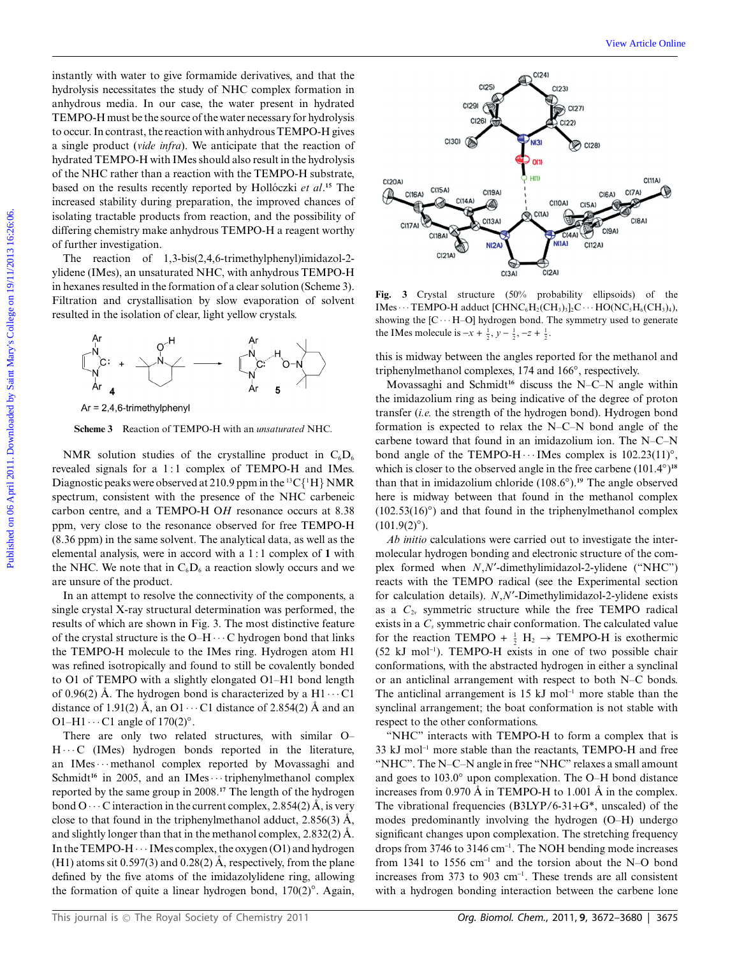instantly with water to give formamide derivatives, and that the hydrolysis necessitates the study of NHC complex formation in anhydrous media. In our case, the water present in hydrated TEMPO-H must be the source of the water necessary for hydrolysis to occur. In contrast, the reaction with anhydrous TEMPO-H gives a single product (*vide infra*). We anticipate that the reaction of hydrated TEMPO-H with IMes should also result in the hydrolysis of the NHC rather than a reaction with the TEMPO-H substrate, based on the results recently reported by Hollóczki *et al*.<sup>15</sup> The increased stability during preparation, the improved chances of isolating tractable products from reaction, and the possibility of differing chemistry make anhydrous TEMPO-H a reagent worthy of further investigation.

The reaction of 1,3-bis(2,4,6-trimethylphenyl)imidazol-2 ylidene (IMes), an unsaturated NHC, with anhydrous TEMPO-H in hexanes resulted in the formation of a clear solution (Scheme 3). Filtration and crystallisation by slow evaporation of solvent resulted in the isolation of clear, light yellow crystals.



**Scheme 3** Reaction of TEMPO-H with an *unsaturated* NHC.

NMR solution studies of the crystalline product in  $C_6D_6$ revealed signals for a 1:1 complex of TEMPO-H and IMes. Diagnostic peaks were observed at 210.9 ppm in the  $^{13}C(^{1}H)$  NMR spectrum, consistent with the presence of the NHC carbeneic carbon centre, and a TEMPO-H O*H* resonance occurs at 8.38 ppm, very close to the resonance observed for free TEMPO-H (8.36 ppm) in the same solvent. The analytical data, as well as the elemental analysis, were in accord with a 1 : 1 complex of **1** with the NHC. We note that in  $C_6D_6$  a reaction slowly occurs and we are unsure of the product.

In an attempt to resolve the connectivity of the components, a single crystal X-ray structural determination was performed, the results of which are shown in Fig. 3. The most distinctive feature of the crystal structure is the O–H $\cdots$ C hydrogen bond that links the TEMPO-H molecule to the IMes ring. Hydrogen atom H1 was refined isotropically and found to still be covalently bonded to O1 of TEMPO with a slightly elongated O1–H1 bond length of 0.96(2) Å. The hydrogen bond is characterized by a  $H1 \cdots C1$ distance of 1.91(2) Å, an O1  $\cdots$  C1 distance of 2.854(2) Å and an O1–H1 $\cdots$ C1 angle of 170(2)°.

There are only two related structures, with similar O–  $H \cdots C$  (IMes) hydrogen bonds reported in the literature, an IMes · · · methanol complex reported by Movassaghi and Schmidt<sup>16</sup> in 2005, and an IMes · · · triphenylmethanol complex reported by the same group in 2008.**<sup>17</sup>** The length of the hydrogen bond  $O \cdots C$  interaction in the current complex, 2.854(2) Å, is very close to that found in the triphenylmethanol adduct,  $2.856(3)$  Å, and slightly longer than that in the methanol complex,  $2.832(2)$  Å. In the TEMPO-H  $\cdots$  IMes complex, the oxygen (O1) and hydrogen (H1) atoms sit 0.597(3) and 0.28(2)  $\AA$ , respectively, from the plane defined by the five atoms of the imidazolylidene ring, allowing the formation of quite a linear hydrogen bond, 170(2)*◦*. Again,



**Fig. 3** Crystal structure (50% probability ellipsoids) of the IMes  $\cdots$  TEMPO-H adduct [CHNC<sub>6</sub>H<sub>2</sub>(CH<sub>3</sub>)<sub>3</sub>]<sub>2</sub>C  $\cdots$  HO(NC<sub>5</sub>H<sub>6</sub>(CH<sub>3</sub>)<sub>4</sub>), showing the  $[C \cdots H-O]$  hydrogen bond. The symmetry used to generate the IMes molecule is  $-x + \frac{1}{2}$ ,  $y - \frac{1}{2}$ ,  $-z + \frac{1}{2}$ .

this is midway between the angles reported for the methanol and triphenylmethanol complexes, 174 and 166*◦*, respectively.

Movassaghi and Schmidt**<sup>16</sup>** discuss the N–C–N angle within the imidazolium ring as being indicative of the degree of proton transfer (*i.e.* the strength of the hydrogen bond). Hydrogen bond formation is expected to relax the N–C–N bond angle of the carbene toward that found in an imidazolium ion. The N–C–N bond angle of the TEMPO-H · · · IMes complex is 102.23(11)<sup>*∘*</sup>, which is closer to the observed angle in the free carbene (101.4*◦*) **18** than that in imidazolium chloride (108.6*◦*).**<sup>19</sup>** The angle observed here is midway between that found in the methanol complex (102.53(16)*◦*) and that found in the triphenylmethanol complex  $(101.9(2)°)$ .

*Ab initio* calculations were carried out to investigate the intermolecular hydrogen bonding and electronic structure of the complex formed when *N*,*N*<sup> $\prime$ </sup>-dimethylimidazol-2-ylidene ("NHC") reacts with the TEMPO radical (see the Experimental section for calculation details). *N*,*N*¢-Dimethylimidazol-2-ylidene exists as a  $C_{2v}$  symmetric structure while the free TEMPO radical exists in a  $C_s$  symmetric chair conformation. The calculated value for the reaction TEMPO +  $\frac{1}{2}$  H<sub>2</sub>  $\rightarrow$  TEMPO-H is exothermic (52 kJ mol-<sup>1</sup> ). TEMPO-H exists in one of two possible chair conformations, with the abstracted hydrogen in either a synclinal or an anticlinal arrangement with respect to both N–C bonds. The anticlinal arrangement is  $15 \text{ kJ}$  mol<sup>-1</sup> more stable than the synclinal arrangement; the boat conformation is not stable with respect to the other conformations.

"NHC" interacts with TEMPO-H to form a complex that is 33 kJ mol<sup>-1</sup> more stable than the reactants, TEMPO-H and free "NHC". The N–C–N angle in free "NHC" relaxes a small amount and goes to 103.0*◦* upon complexation. The O–H bond distance increases from 0.970 Å in TEMPO-H to 1.001 Å in the complex. The vibrational frequencies (B3LYP/6-31+G\*, unscaled) of the modes predominantly involving the hydrogen (O–H) undergo significant changes upon complexation. The stretching frequency drops from 3746 to 3146 cm-<sup>1</sup> . The NOH bending mode increases from 1341 to 1556  $cm^{-1}$  and the torsion about the N–O bond increases from 373 to 903 cm-<sup>1</sup> . These trends are all consistent with a hydrogen bonding interaction between the carbene lone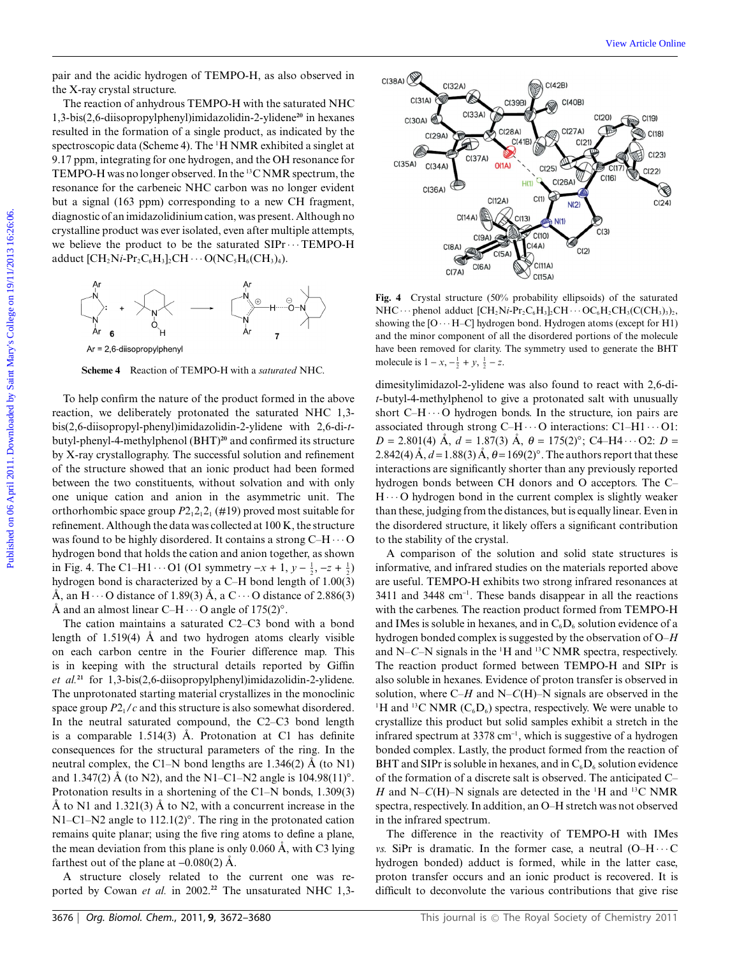pair and the acidic hydrogen of TEMPO-H, as also observed in the X-ray crystal structure.

The reaction of anhydrous TEMPO-H with the saturated NHC 1,3-bis(2,6-diisopropylphenyl)imidazolidin-2-ylidene**<sup>20</sup>** in hexanes resulted in the formation of a single product, as indicated by the spectroscopic data (Scheme 4). The <sup>1</sup> H NMR exhibited a singlet at 9.17 ppm, integrating for one hydrogen, and the OH resonance for TEMPO-H was no longer observed. In the 13C NMR spectrum, the resonance for the carbeneic NHC carbon was no longer evident but a signal (163 ppm) corresponding to a new CH fragment, diagnostic of an imidazolidinium cation, was present. Although no crystalline product was ever isolated, even after multiple attempts, we believe the product to be the saturated  $SIPr \cdots TEMPO-H$ adduct  $[\text{CH}_2\text{Ni-Pr}_2\text{C}_6\text{H}_3]_2\text{CH}\cdots\text{O}(\text{NC}_5\text{H}_6(\text{CH}_3)_4).$ 



**Scheme 4** Reaction of TEMPO-H with a *saturated* NHC.

To help confirm the nature of the product formed in the above reaction, we deliberately protonated the saturated NHC 1,3 bis(2,6-diisopropyl-phenyl)imidazolidin-2-ylidene with 2,6-di-*t*butyl-phenyl-4-methylphenol (BHT)**<sup>20</sup>** and confirmed its structure by X-ray crystallography. The successful solution and refinement of the structure showed that an ionic product had been formed between the two constituents, without solvation and with only one unique cation and anion in the asymmetric unit. The orthorhombic space group  $P2_12_12_1$  (#19) proved most suitable for refinement. Although the data was collected at 100 K, the structure was found to be highly disordered. It contains a strong  $C-H \cdots O$ hydrogen bond that holds the cation and anion together, as shown in Fig. 4. The C1–H1  $\cdots$  O1 (O1 symmetry  $-x + 1$ ,  $y - \frac{1}{2}$ ,  $-z + \frac{1}{2}$ ) hydrogen bond is characterized by a C–H bond length of 1.00(3) Å, an H  $\cdots$  O distance of 1.89(3) Å, a C  $\cdots$  O distance of 2.886(3) Å and an almost linear C–H $\cdots$ O angle of 175(2)°.

The cation maintains a saturated C2–C3 bond with a bond length of  $1.519(4)$  Å and two hydrogen atoms clearly visible on each carbon centre in the Fourier difference map. This is in keeping with the structural details reported by Giffin *et al.***<sup>21</sup>** for 1,3-bis(2,6-diisopropylphenyl)imidazolidin-2-ylidene. The unprotonated starting material crystallizes in the monoclinic space group  $P2<sub>1</sub>/c$  and this structure is also somewhat disordered. In the neutral saturated compound, the C2–C3 bond length is a comparable  $1.514(3)$  Å. Protonation at C1 has definite consequences for the structural parameters of the ring. In the neutral complex, the C1–N bond lengths are 1.346(2)  $\AA$  (to N1) and 1.347(2) Å (to N2), and the N1–C1–N2 angle is  $104.98(11)°$ . Protonation results in a shortening of the C1–N bonds, 1.309(3) Å to N1 and 1.321(3) Å to N2, with a concurrent increase in the N1–C1–N2 angle to 112.1(2)*◦*. The ring in the protonated cation remains quite planar; using the five ring atoms to define a plane, the mean deviation from this plane is only  $0.060 \text{ Å}$ , with C3 lying farthest out of the plane at  $-0.080(2)$  Å.

A structure closely related to the current one was reported by Cowan *et al.* in 2002.**<sup>22</sup>** The unsaturated NHC 1,3-



**Fig. 4** Crystal structure (50% probability ellipsoids) of the saturated NHC  $\cdots$  phenol adduct  $[CH_2Ni\text{-}Pr_2C_6H_3]_2CH\cdots$  OC<sub>6</sub>H<sub>2</sub>CH<sub>3</sub>(C(CH<sub>3</sub>)<sub>3</sub>)<sub>2</sub>, showing the  $[O \cdots H-C]$  hydrogen bond. Hydrogen atoms (except for H1) and the minor component of all the disordered portions of the molecule have been removed for clarity. The symmetry used to generate the BHT molecule is  $1 - x$ ,  $-\frac{1}{2} + y$ ,  $\frac{1}{2} - z$ .

dimesitylimidazol-2-ylidene was also found to react with 2,6-di*t*-butyl-4-methylphenol to give a protonated salt with unusually short  $C-H \cdots O$  hydrogen bonds. In the structure, ion pairs are associated through strong C–H $\cdots$ O interactions: C1–H1 $\cdots$ O1:  $D = 2.801(4)$  Å,  $d = 1.87(3)$  Å,  $\theta = 175(2)$ °; C4–H4 $\cdots$ O2:  $D =$ 2.842(4)  $\AA$ ,  $d = 1.88(3) \AA$ ,  $\theta = 169(2)^\circ$ . The authors report that these interactions are significantly shorter than any previously reported hydrogen bonds between CH donors and O acceptors. The C–  $H \cdots$ O hydrogen bond in the current complex is slightly weaker than these, judging from the distances, but is equally linear. Even in the disordered structure, it likely offers a significant contribution to the stability of the crystal.

A comparison of the solution and solid state structures is informative, and infrared studies on the materials reported above are useful. TEMPO-H exhibits two strong infrared resonances at 3411 and 3448 cm-<sup>1</sup> . These bands disappear in all the reactions with the carbenes. The reaction product formed from TEMPO-H and IMes is soluble in hexanes, and in  $C_6D_6$  solution evidence of a hydrogen bonded complex is suggested by the observation of O–*H* and N–*C*–N signals in the <sup>1</sup> H and 13C NMR spectra, respectively. The reaction product formed between TEMPO-H and SIPr is also soluble in hexanes. Evidence of proton transfer is observed in solution, where C–*H* and N–*C*(H)–N signals are observed in the <sup>1</sup>H and <sup>13</sup>C NMR ( $C_6D_6$ ) spectra, respectively. We were unable to crystallize this product but solid samples exhibit a stretch in the infrared spectrum at 3378 cm<sup>-1</sup>, which is suggestive of a hydrogen bonded complex. Lastly, the product formed from the reaction of BHT and SIPr is soluble in hexanes, and in  $C_6D_6$  solution evidence of the formation of a discrete salt is observed. The anticipated C– *H* and N–*C*(H)–N signals are detected in the <sup>1</sup>H and <sup>13</sup>C NMR spectra, respectively. In addition, an O–H stretch was not observed in the infrared spectrum.

The difference in the reactivity of TEMPO-H with IMes *vs.* SiPr is dramatic. In the former case, a neutral  $(O-H \cdots C)$ hydrogen bonded) adduct is formed, while in the latter case, proton transfer occurs and an ionic product is recovered. It is difficult to deconvolute the various contributions that give rise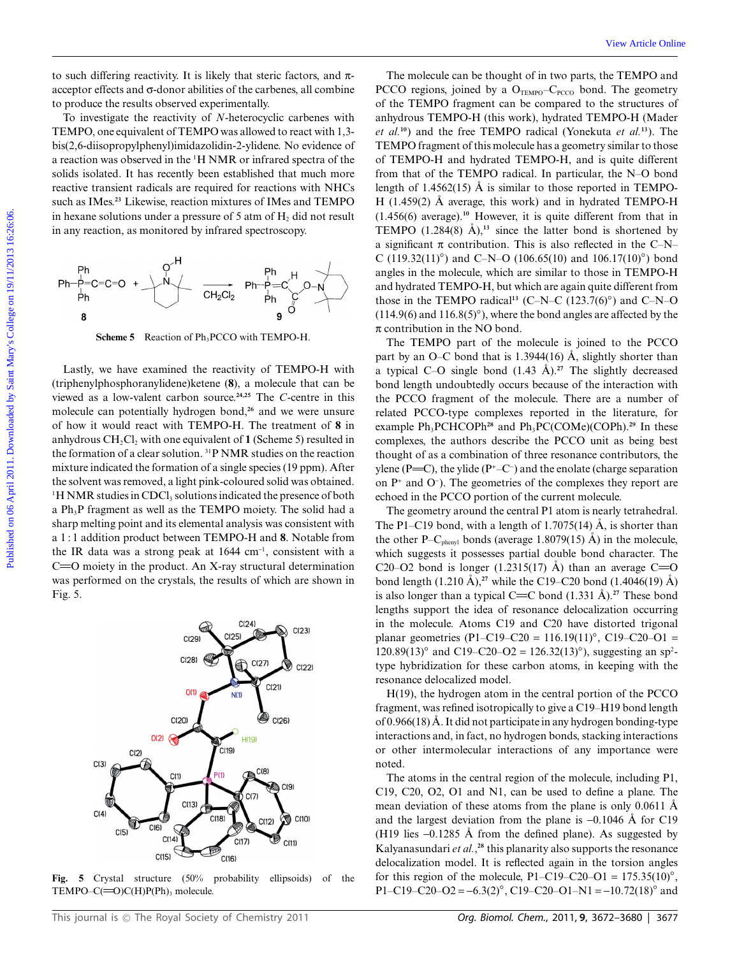to such differing reactivity. It is likely that steric factors, and  $\pi$ acceptor effects and  $\sigma$ -donor abilities of the carbenes, all combine to produce the results observed experimentally.

To investigate the reactivity of *N*-heterocyclic carbenes with TEMPO, one equivalent of TEMPO was allowed to react with 1,3 bis(2,6-diisopropylphenyl)imidazolidin-2-ylidene. No evidence of a reaction was observed in the <sup>1</sup>H NMR or infrared spectra of the solids isolated. It has recently been established that much more reactive transient radicals are required for reactions with NHCs such as IMes.**<sup>23</sup>** Likewise, reaction mixtures of IMes and TEMPO in hexane solutions under a pressure of  $5$  atm of  $H_2$  did not result in any reaction, as monitored by infrared spectroscopy.



**Scheme 5** Reaction of Ph<sub>3</sub>PCCO with TEMPO-H.

Lastly, we have examined the reactivity of TEMPO-H with (triphenylphosphoranylidene)ketene (**8**), a molecule that can be viewed as a low-valent carbon source.**24,25** The *C*-centre in this molecule can potentially hydrogen bond,**<sup>26</sup>** and we were unsure of how it would react with TEMPO-H. The treatment of **8** in anhydrous  $CH_2Cl_2$  with one equivalent of **1** (Scheme 5) resulted in the formation of a clear solution. 31P NMR studies on the reaction mixture indicated the formation of a single species (19 ppm). After the solvent was removed, a light pink-coloured solid was obtained.  $1H NMR$  studies in CDCl<sub>3</sub> solutions indicated the presence of both a Ph<sub>3</sub>P fragment as well as the TEMPO moiety. The solid had a sharp melting point and its elemental analysis was consistent with a 1 : 1 addition product between TEMPO-H and **8**. Notable from the IR data was a strong peak at  $1644 \text{ cm}^{-1}$ , consistent with a  $C = 0$  moiety in the product. An X-ray structural determination was performed on the crystals, the results of which are shown in Fig. 5.

 $C(24)$  $C(23)$  $C(29)$  $C(28)$  $C(27)$  $C(22)$  $C(21)$  $O(1)$  $N(1)$ Ø)  $C(20)$  $C(26)$  $(1)$  $H(19)$  $\overline{C(19)}$  $C(2)$  $C(3)$  $C(8)$  $C(1)$ C(9)  $C(7)$  $C(13)$  $C(4)$  $C(18)$  $C(10)$ 60  $C(12)$ \$  $C(6)$  $C(5)$  $C(14)$  $C(17)$  $C(11)$  $C(15)$  $C(16)$ 

**Fig. 5** Crystal structure (50% probability ellipsoids) of the TEMPO– $C(=O)C(H)P(Ph)$ <sub>3</sub> molecule.

The molecule can be thought of in two parts, the TEMPO and PCCO regions, joined by a  $O_{TEMPO} - C_{PCCO}$  bond. The geometry of the TEMPO fragment can be compared to the structures of anhydrous TEMPO-H (this work), hydrated TEMPO-H (Mader *et al.***<sup>10</sup>**) and the free TEMPO radical (Yonekuta *et al.***<sup>13</sup>**). The TEMPO fragment of this molecule has a geometry similar to those of TEMPO-H and hydrated TEMPO-H, and is quite different from that of the TEMPO radical. In particular, the N–O bond length of 1.4562(15)  $\AA$  is similar to those reported in TEMPO-H (1.459(2)  $\AA$  average, this work) and in hydrated TEMPO-H (1.456(6) average).**<sup>10</sup>** However, it is quite different from that in TEMPO  $(1.284(8)$   $\AA)$ ,<sup>13</sup> since the latter bond is shortened by a significant  $\pi$  contribution. This is also reflected in the C–N– C (119.32(11)*◦*) and C–N–O (106.65(10) and 106.17(10)*◦*) bond angles in the molecule, which are similar to those in TEMPO-H and hydrated TEMPO-H, but which are again quite different from those in the TEMPO radical<sup>13</sup> (C–N–C (123.7(6)<sup>°</sup>) and C–N–O (114.9(6) and 116.8(5)*◦*), where the bond angles are affected by the  $\pi$  contribution in the NO bond. Fo such differing resulting that is the by that seric factors, and  $\pi$ — The molecule can be bought of in two parts of ELMO care and the college of the CDMO measure on the compared to the CDMO measure on the compared to t

The TEMPO part of the molecule is joined to the PCCO part by an O–C bond that is 1.3944(16)  $\AA$ , slightly shorter than a typical C–O single bond  $(1.43 \text{ Å})$ .<sup>27</sup> The slightly decreased bond length undoubtedly occurs because of the interaction with the PCCO fragment of the molecule. There are a number of related PCCO-type complexes reported in the literature, for example Ph<sub>3</sub>PCHCOPh<sup>28</sup> and Ph<sub>3</sub>PC(COMe)(COPh).<sup>29</sup> In these complexes, the authors describe the PCCO unit as being best thought of as a combination of three resonance contributors, the ylene (P=C), the ylide (P<sup>+</sup>-C<sup>-</sup>) and the enolate (charge separation on  $P^+$  and  $O^-$ ). The geometries of the complexes they report are echoed in the PCCO portion of the current molecule.

The geometry around the central P1 atom is nearly tetrahedral. The P1–C19 bond, with a length of 1.7075(14)  $\AA$ , is shorter than the other P–C<sub>phenyl</sub> bonds (average 1.8079(15) Å) in the molecule, which suggests it possesses partial double bond character. The C20–O2 bond is longer (1.2315(17) Å) than an average C=O bond length  $(1.210 \text{ Å})$ ,<sup>27</sup> while the C19–C20 bond  $(1.4046(19) \text{ Å})$ is also longer than a typical  $C = C$  bond  $(1.331 \text{ Å})$ .<sup>27</sup> These bond lengths support the idea of resonance delocalization occurring in the molecule. Atoms C19 and C20 have distorted trigonal planar geometries (P1–C19–C20 = 116.19(11)*◦*, C19–C20–O1 = 120.89(13)*◦* and C19–C20–O2 = 126.32(13)*◦*), suggesting an sp2 type hybridization for these carbon atoms, in keeping with the resonance delocalized model.

H(19), the hydrogen atom in the central portion of the PCCO fragment, was refined isotropically to give a C19–H19 bond length of  $0.966(18)$  Å. It did not participate in any hydrogen bonding-type interactions and, in fact, no hydrogen bonds, stacking interactions or other intermolecular interactions of any importance were noted.

The atoms in the central region of the molecule, including P1, C19, C20, O2, O1 and N1, can be used to define a plane. The mean deviation of these atoms from the plane is only  $0.0611$  Å and the largest deviation from the plane is  $-0.1046$  Å for C19 (H19 lies  $-0.1285$  Å from the defined plane). As suggested by Kalyanasundari *et al.*, **<sup>28</sup>** this planarity also supports the resonance delocalization model. It is reflected again in the torsion angles for this region of the molecule, P1–C19–C20–O1 =  $175.35(10)°$ , P1–C19–C20–O2 = -6.3(2)*◦*, C19–C20–O1–N1 = -10.72(18)*◦* and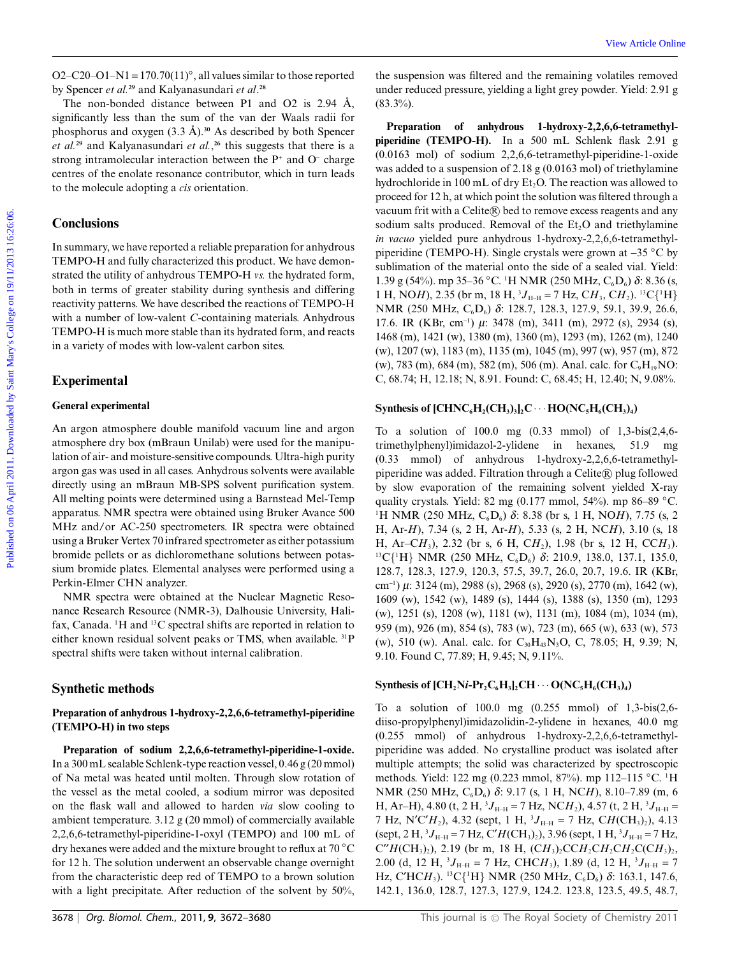O2–C20–O1–N1 = 170.70(11)*◦*, all values similar to those reported by Spencer *et al.***<sup>29</sup>** and Kalyanasundari *et al*. **28**

The non-bonded distance between P1 and O2 is  $2.94 \text{ Å}$ , significantly less than the sum of the van der Waals radii for phosphorus and oxygen  $(3.3 \text{ Å})$ .<sup>30</sup> As described by both Spencer *et al.***<sup>29</sup>** and Kalyanasundari *et al.*, **<sup>26</sup>** this suggests that there is a strong intramolecular interaction between the  $P^+$  and  $O^-$  charge centres of the enolate resonance contributor, which in turn leads to the molecule adopting a *cis* orientation.

# **Conclusions**

In summary, we have reported a reliable preparation for anhydrous TEMPO-H and fully characterized this product. We have demonstrated the utility of anhydrous TEMPO-H *vs.* the hydrated form, both in terms of greater stability during synthesis and differing reactivity patterns. We have described the reactions of TEMPO-H with a number of low-valent *C*-containing materials. Anhydrous TEMPO-H is much more stable than its hydrated form, and reacts in a variety of modes with low-valent carbon sites.

#### **Experimental**

## **General experimental**

An argon atmosphere double manifold vacuum line and argon atmosphere dry box (mBraun Unilab) were used for the manipulation of air- and moisture-sensitive compounds. Ultra-high purity argon gas was used in all cases. Anhydrous solvents were available directly using an mBraun MB-SPS solvent purification system. All melting points were determined using a Barnstead Mel-Temp apparatus. NMR spectra were obtained using Bruker Avance 500 MHz and/or AC-250 spectrometers. IR spectra were obtained using a Bruker Vertex 70 infrared spectrometer as either potassium bromide pellets or as dichloromethane solutions between potassium bromide plates. Elemental analyses were performed using a Perkin-Elmer CHN analyzer.

NMR spectra were obtained at the Nuclear Magnetic Resonance Research Resource (NMR-3), Dalhousie University, Halifax, Canada. <sup>1</sup>H and <sup>13</sup>C spectral shifts are reported in relation to either known residual solvent peaks or TMS, when available. 31P spectral shifts were taken without internal calibration.

#### **Synthetic methods**

## **Preparation of anhydrous 1-hydroxy-2,2,6,6-tetramethyl-piperidine (TEMPO-H) in two steps**

**Preparation of sodium 2,2,6,6-tetramethyl-piperidine-1-oxide.** In a 300 mL sealable Schlenk-type reaction vessel, 0.46 g (20 mmol) of Na metal was heated until molten. Through slow rotation of the vessel as the metal cooled, a sodium mirror was deposited on the flask wall and allowed to harden *via* slow cooling to ambient temperature. 3.12 g (20 mmol) of commercially available 2,2,6,6-tetramethyl-piperidine-1-oxyl (TEMPO) and 100 mL of dry hexanes were added and the mixture brought to reflux at 70 *◦*C for 12 h. The solution underwent an observable change overnight from the characteristic deep red of TEMPO to a brown solution with a light precipitate. After reduction of the solvent by 50%,

the suspension was filtered and the remaining volatiles removed under reduced pressure, yielding a light grey powder. Yield: 2.91 g  $(83.3\%)$ .

Preparation of anhydrous 1-hydroxy-2,2,6,6-tetramethyl**piperidine (TEMPO-H).** In a 500 mL Schlenk flask 2.91 g (0.0163 mol) of sodium 2,2,6,6-tetramethyl-piperidine-1-oxide was added to a suspension of 2.18 g (0.0163 mol) of triethylamine hydrochloride in 100 mL of dry  $Et_2O$ . The reaction was allowed to proceed for 12 h, at which point the solution was filtered through a vacuum frit with a Celite® bed to remove excess reagents and any sodium salts produced. Removal of the  $Et<sub>2</sub>O$  and triethylamine *in vacuo* yielded pure anhydrous 1-hydroxy-2,2,6,6-tetramethylpiperidine (TEMPO-H). Single crystals were grown at -35 *◦*C by sublimation of the material onto the side of a sealed vial. Yield: 1.39 g (54%). mp 35–36 *◦*C. <sup>1</sup> H NMR (250 MHz, C6D6) *d*: 8.36 (s, 1 H, NO*H*), 2.35 (br m, 18 H,  ${}^{3}J_{\text{H-H}} = 7$  Hz, C*H*<sub>3</sub>, C*H*<sub>2</sub>). <sup>13</sup>C{<sup>1</sup>H} NMR (250 MHz, C<sub>6</sub>D<sub>6</sub>) δ: 128.7, 128.3, 127.9, 59.1, 39.9, 26.6, 17.6. IR (KBr, cm<sup>-1</sup>) μ: 3478 (m), 3411 (m), 2972 (s), 2934 (s), 1468 (m), 1421 (w), 1380 (m), 1360 (m), 1293 (m), 1262 (m), 1240 (w), 1207 (w), 1183 (m), 1135 (m), 1045 (m), 997 (w), 957 (m), 872 (w), 783 (m), 684 (m), 582 (m), 506 (m). Anal. calc. for  $C_9H_{19}NO$ : C, 68.74; H, 12.18; N, 8.91. Found: C, 68.45; H, 12.40; N, 9.08%. O2-C20-O1-N1 -170 70(11)', all values similar to those reported the surpension was filtered and the emaining volume by Spencer or  $\alpha$ " and by Spencer or  $\alpha$ " and O2 is 234 Å. (and arrivalent protours, yielding a light g

## **Synthesis of**  $[CHNC_6H_2(CH_3)_3]_2C \cdots HO(NC_5H_6(CH_3)_4)$

To a solution of 100.0 mg (0.33 mmol) of 1,3-bis(2,4,6 trimethylphenyl)imidazol-2-ylidene in hexanes, 51.9 mg (0.33 mmol) of anhydrous 1-hydroxy-2,2,6,6-tetramethylpiperidine was added. Filtration through a Celite® plug followed by slow evaporation of the remaining solvent yielded X-ray quality crystals. Yield: 82 mg (0.177 mmol, 54%). mp 86–89 *◦*C. <sup>1</sup>H NMR (250 MHz, C<sub>6</sub>D<sub>6</sub>) δ: 8.38 (br s, 1 H, NO*H*), 7.75 (s, 2 H, Ar-*H*), 7.34 (s, 2 H, Ar-*H*), 5.33 (s, 2 H, NC*H*), 3.10 (s, 18 H, Ar–C*H*3), 2.32 (br s, 6 H, C*H*2), 1.98 (br s, 12 H, CC*H*3). <sup>13</sup>C{<sup>1</sup>H} NMR (250 MHz, C<sub>6</sub>D<sub>6</sub>) δ: 210.9, 138.0, 137.1, 135.0, 128.7, 128.3, 127.9, 120.3, 57.5, 39.7, 26.0, 20.7, 19.6. IR (KBr, cm-<sup>1</sup> ) *m*: 3124 (m), 2988 (s), 2968 (s), 2920 (s), 2770 (m), 1642 (w), 1609 (w), 1542 (w), 1489 (s), 1444 (s), 1388 (s), 1350 (m), 1293 (w), 1251 (s), 1208 (w), 1181 (w), 1131 (m), 1084 (m), 1034 (m), 959 (m), 926 (m), 854 (s), 783 (w), 723 (m), 665 (w), 633 (w), 573 (w), 510 (w). Anal. calc. for  $C_{30}H_{43}N_{3}O$ , C, 78.05; H, 9.39; N, 9.10. Found C, 77.89; H, 9.45; N, 9.11%.

#### **Synthesis of**  $[CH_2Ni-Pr_2C_6H_3]_2CH \cdots O(NC_5H_6(CH_3)_4)$

To a solution of 100.0 mg (0.255 mmol) of 1,3-bis(2,6 diiso-propylphenyl)imidazolidin-2-ylidene in hexanes, 40.0 mg (0.255 mmol) of anhydrous 1-hydroxy-2,2,6,6-tetramethylpiperidine was added. No crystalline product was isolated after multiple attempts; the solid was characterized by spectroscopic methods. Yield: 122 mg (0.223 mmol, 87%). mp 112–115 *◦*C. <sup>1</sup> H NMR (250 MHz, C<sub>6</sub>D<sub>6</sub>) δ: 9.17 (s, 1 H, NC*H*), 8.10–7.89 (m, 6 H, Ar–H), 4.80 (t, 2 H,  ${}^{3}J_{\text{H-H}}$  = 7 Hz, NC*H*<sub>2</sub>), 4.57 (t, 2 H,  ${}^{3}J_{\text{H-H}}$  = 7 Hz, N'C'H<sub>2</sub>), 4.32 (sept, 1 H,  ${}^{3}J_{\text{H-H}} = 7$  Hz, CH(CH<sub>3</sub>)<sub>2</sub>), 4.13 (sept, 2 H, <sup>3</sup> $J_{\text{H-H}}$  = 7 Hz, C'H(CH<sub>3</sub>)<sub>2</sub>), 3.96 (sept, 1 H, <sup>3</sup> $J_{\text{H-H}}$  = 7 Hz,  $C''H(CH_3)_{2}$ , 2.19 (br m, 18 H,  $(CH_3)_2CCH_2CH_2CH_2C(H_3)_{2}$ , 2.00 (d, 12 H,  ${}^{3}J_{\text{H-H}}$  = 7 Hz, CHC*H*<sub>3</sub>), 1.89 (d, 12 H,  ${}^{3}J_{\text{H-H}}$  = 7 Hz, C'HCH<sub>3</sub>). <sup>13</sup>C{<sup>1</sup>H} NMR (250 MHz, C<sub>6</sub>D<sub>6</sub>) *δ*: 163.1, 147.6, 142.1, 136.0, 128.7, 127.3, 127.9, 124.2. 123.8, 123.5, 49.5, 48.7,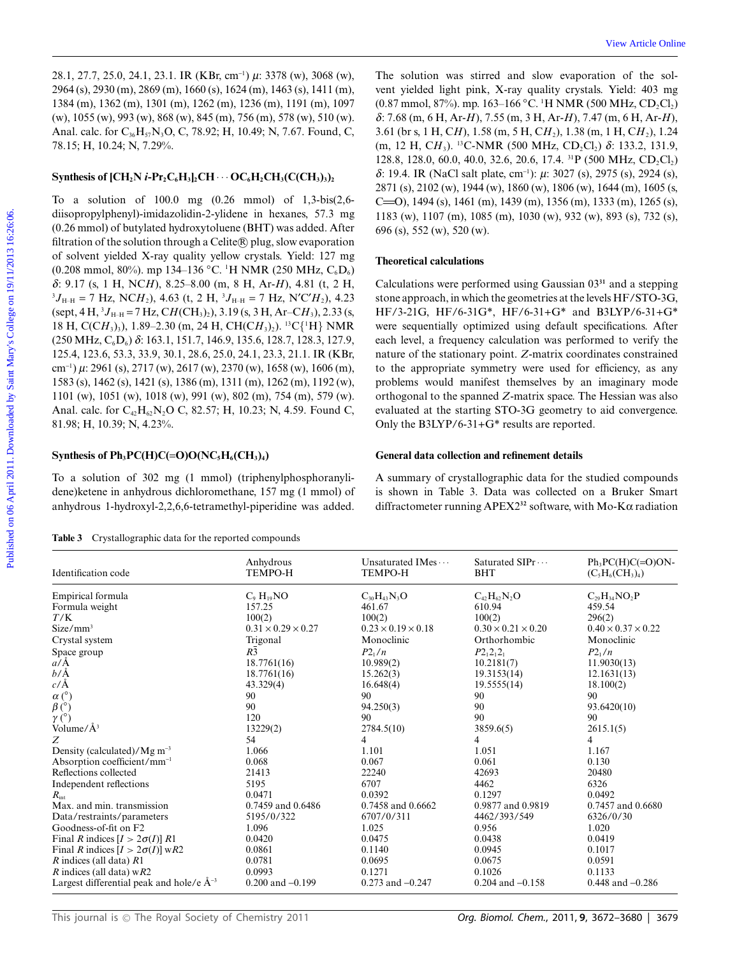28.1, 27.7, 25.0, 24.1, 23.1. IR (KBr, cm-<sup>1</sup> ) *m*: 3378 (w), 3068 (w), 2964 (s), 2930 (m), 2869 (m), 1660 (s), 1624 (m), 1463 (s), 1411 (m), 1384 (m), 1362 (m), 1301 (m), 1262 (m), 1236 (m), 1191 (m), 1097 (w), 1055 (w), 993 (w), 868 (w), 845 (m), 756 (m), 578 (w), 510 (w). Anal. calc. for C<sub>36</sub>H<sub>57</sub>N<sub>3</sub>O, C, 78.92; H, 10.49; N, 7.67. Found, C, 78.15; H, 10.24; N, 7.29%.

#### **Synthesis of**  $[CH_2N \textit{i-Pr}_2C_6H_3]_2CH \cdots OC_6H_2CH_3(C(CH_3)_3)_2$

To a solution of 100.0 mg (0.26 mmol) of 1,3-bis(2,6 diisopropylphenyl)-imidazolidin-2-ylidene in hexanes, 57.3 mg (0.26 mmol) of butylated hydroxytoluene (BHT) was added. After filtration of the solution through a Celite $\circledR$  plug, slow evaporation of solvent yielded X-ray quality yellow crystals. Yield: 127 mg (0.208 mmol, 80%). mp 134–136 °C. <sup>1</sup>H NMR (250 MHz, C<sub>6</sub>D<sub>6</sub>) *d*: 9.17 (s, 1 H, NC*H*), 8.25–8.00 (m, 8 H, Ar-*H*), 4.81 (t, 2 H,  ${}^{3}J_{\text{H-H}}$  = 7 Hz, NC*H*<sub>2</sub>), 4.63 (t, 2 H,  ${}^{3}J_{\text{H-H}}$  = 7 Hz, N'C'*H*<sub>2</sub>), 4.23 (sept, 4 H, <sup>3</sup> J<sub>H–H</sub> = 7 Hz, C*H*(CH<sub>3</sub>)<sub>2</sub>), 3.19 (s, 3 H, Ar–C*H*<sub>3</sub>), 2.33 (s, 18 H, C(CH<sub>3</sub>)<sub>3</sub>), 1.89–2.30 (m, 24 H, CH(CH<sub>3</sub>)<sub>2</sub>). <sup>13</sup>C{<sup>1</sup>H} NMR (250 MHz, C6D6) *d*: 163.1, 151.7, 146.9, 135.6, 128.7, 128.3, 127.9, 125.4, 123.6, 53.3, 33.9, 30.1, 28.6, 25.0, 24.1, 23.3, 21.1. IR (KBr, cm-<sup>1</sup> ) *m*: 2961 (s), 2717 (w), 2617 (w), 2370 (w), 1658 (w), 1606 (m), 1583 (s), 1462 (s), 1421 (s), 1386 (m), 1311 (m), 1262 (m), 1192 (w), 1101 (w), 1051 (w), 1018 (w), 991 (w), 802 (m), 754 (m), 579 (w). Anal. calc. for  $C_{42}H_{62}N_2O$  C, 82.57; H, 10.23; N, 4.59. Found C, 81.98; H, 10.39; N, 4.23%. 28.1.27.7.25.0.24.1.23.1. IR (KBc, em<sup>2</sup>)  $\mu$  2.378 (v), 306 (v), The solution was stirred and slow evaporation of the solution (s) 2011. (132.01.1201.101. 102.101.1101.02.101.1101.02.101.1101.02.101.1101.12.2.2.1. NM (2

# **Synthesis of Ph<sub>3</sub>PC(H)C(=O)O(NC<sub>5</sub>H<sub>6</sub>(CH<sub>3</sub>)<sub>4</sub>)**

To a solution of 302 mg (1 mmol) (triphenylphosphoranylidene)ketene in anhydrous dichloromethane, 157 mg (1 mmol) of anhydrous 1-hydroxyl-2,2,6,6-tetramethyl-piperidine was added.

**Table 3** Crystallographic data for the reported compounds

The solution was stirred and slow evaporation of the solvent yielded light pink, X-ray quality crystals. Yield: 403 mg (0.87 mmol, 87%). mp. 163–166 °C. <sup>1</sup>H NMR (500 MHz, CD<sub>2</sub>Cl<sub>2</sub>) *d*: 7.68 (m, 6 H, Ar-*H*), 7.55 (m, 3 H, Ar-*H*), 7.47 (m, 6 H, Ar-*H*), 3.61 (br s, 1 H, C*H*), 1.58 (m, 5 H, C*H*2), 1.38 (m, 1 H, C*H*2), 1.24 (m, 12 H, CH<sub>3</sub>). <sup>13</sup>C-NMR (500 MHz, CD<sub>2</sub>Cl<sub>2</sub>) δ: 133.2, 131.9, 128.8, 128.0, 60.0, 40.0, 32.6, 20.6, 17.4. <sup>31</sup>P (500 MHz,  $CD_2Cl_2$ ) *d*: 19.4. IR (NaCl salt plate, cm-<sup>1</sup> ): *m*: 3027 (s), 2975 (s), 2924 (s), 2871 (s), 2102 (w), 1944 (w), 1860 (w), 1806 (w), 1644 (m), 1605 (s,  $C = 0$ ), 1494 (s), 1461 (m), 1439 (m), 1356 (m), 1333 (m), 1265 (s), 1183 (w), 1107 (m), 1085 (m), 1030 (w), 932 (w), 893 (s), 732 (s), 696 (s), 552 (w), 520 (w).

#### **Theoretical calculations**

Calculations were performed using Gaussian 03**<sup>31</sup>** and a stepping stone approach, in which the geometries at the levels HF/STO-3G, HF/3-21G, HF/6-31G\*, HF/6-31+G\* and B3LYP/6-31+G\* were sequentially optimized using default specifications. After each level, a frequency calculation was performed to verify the nature of the stationary point. *Z*-matrix coordinates constrained to the appropriate symmetry were used for efficiency, as any problems would manifest themselves by an imaginary mode orthogonal to the spanned *Z*-matrix space. The Hessian was also evaluated at the starting STO-3G geometry to aid convergence. Only the B3LYP/6-31+G\* results are reported.

#### **General data collection and refinement details**

A summary of crystallographic data for the studied compounds is shown in Table 3. Data was collected on a Bruker Smart diffractometer running APEX2**<sup>32</sup>** software, with Mo-Ka radiation

| Identification code                           | Anhydrous<br><b>TEMPO-H</b>    | Unsaturated IMes $\cdots$<br><b>TEMPO-H</b> | Saturated SIPr<br><b>BHT</b>   | $Ph_3PC(H)C(=O)ON-$<br>$(C_5H_6(CH_3)_4)$ |
|-----------------------------------------------|--------------------------------|---------------------------------------------|--------------------------------|-------------------------------------------|
| Empirical formula                             | $C_9$ $H_{19}NO$               | $C_{30}H_{43}N_{3}O$                        | $C_{42}H_{62}N_{2}O$           | $C_{29}H_{34}NO_2P$                       |
| Formula weight                                | 157.25                         | 461.67                                      | 610.94                         | 459.54                                    |
| T/K                                           | 100(2)                         | 100(2)                                      | 100(2)                         | 296(2)                                    |
| $Size/mm^3$                                   | $0.31 \times 0.29 \times 0.27$ | $0.23 \times 0.19 \times 0.18$              | $0.30 \times 0.21 \times 0.20$ | $0.40 \times 0.37 \times 0.22$            |
| Crystal system                                | Trigonal                       | Monoclinic                                  | Orthorhombic                   | Monoclinic                                |
| Space group                                   | $R_3^{\overline{3}}$           | $P2_1/n$                                    | $P2_12_12_1$                   | $P_{1}/n$                                 |
| $a/\AA$                                       | 18.7761(16)                    | 10.989(2)                                   | 10.2181(7)                     | 11.9030(13)                               |
| b/Å                                           | 18.7761(16)                    | 15.262(3)                                   | 19.3153(14)                    | 12.1631(13)                               |
| $c/\text{\AA}$                                | 43.329(4)                      | 16.648(4)                                   | 19.5555(14)                    | 18.100(2)                                 |
| $\alpha$ (°)                                  | 90                             | 90                                          | 90                             | 90                                        |
| $\beta$ (°)                                   | 90                             | 94.250(3)                                   | 90                             | 93.6420(10)                               |
| $\gamma$ (°)                                  | 120                            | 90                                          | 90                             | 90                                        |
| Volume/ $\AA^3$                               | 13229(2)                       | 2784.5(10)                                  | 3859.6(5)                      | 2615.1(5)                                 |
| Ζ                                             | 54                             | 4                                           | 4                              | 4                                         |
| Density (calculated)/ $Mg$ m <sup>-3</sup>    | 1.066                          | 1.101                                       | 1.051                          | 1.167                                     |
| Absorption coefficient/ $mm^{-1}$             | 0.068                          | 0.067                                       | 0.061                          | 0.130                                     |
| Reflections collected                         | 21413                          | 22240                                       | 42693                          | 20480                                     |
| Independent reflections                       | 5195                           | 6707                                        | 4462                           | 6326                                      |
| $R_{\rm int}$                                 | 0.0471                         | 0.0392                                      | 0.1297                         | 0.0492                                    |
| Max. and min. transmission                    | 0.7459 and 0.6486              | 0.7458 and 0.6662                           | 0.9877 and 0.9819              | 0.7457 and 0.6680                         |
| Data/restraints/parameters                    | 5195/0/322                     | 6707/0/311                                  | 4462/393/549                   | 6326/0/30                                 |
| Goodness-of-fit on F2                         | 1.096                          | 1.025                                       | 0.956                          | 1.020                                     |
| Final R indices $[I > 2\sigma(I)]$ R1         | 0.0420                         | 0.0475                                      | 0.0438                         | 0.0419                                    |
| Final R indices $[I > 2\sigma(I)]$ wR2        | 0.0861                         | 0.1140                                      | 0.0945                         | 0.1017                                    |
| $R$ indices (all data) $R1$                   | 0.0781                         | 0.0695                                      | 0.0675                         | 0.0591                                    |
| <i>R</i> indices (all data) $wR2$             | 0.0993                         | 0.1271                                      | 0.1026                         | 0.1133                                    |
| Largest differential peak and hole/e $A^{-3}$ | $0.200$ and $-0.199$           | $0.273$ and $-0.247$                        | $0.204$ and $-0.158$           | 0.448 and $-0.286$                        |